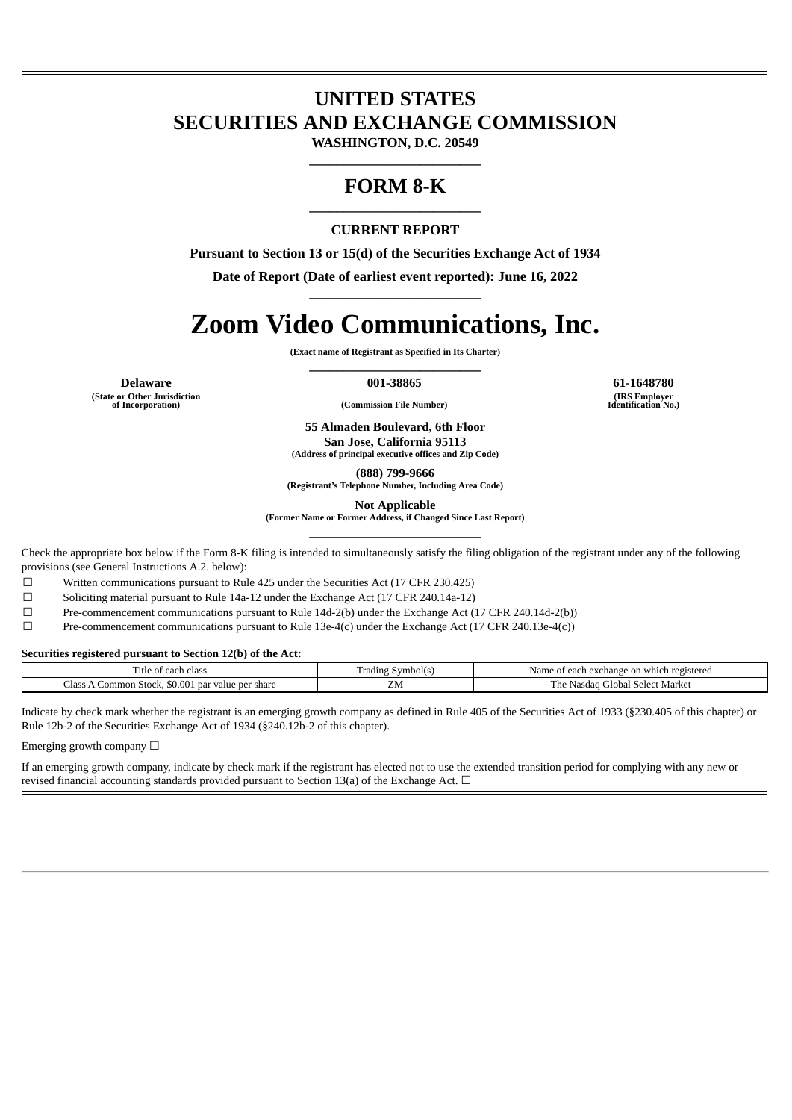## **UNITED STATES SECURITIES AND EXCHANGE COMMISSION**

**WASHINGTON, D.C. 20549 \_\_\_\_\_\_\_\_\_\_\_\_\_\_\_\_\_\_\_\_\_\_\_\_\_**

### **FORM 8-K \_\_\_\_\_\_\_\_\_\_\_\_\_\_\_\_\_\_\_\_\_\_\_\_\_**

#### **CURRENT REPORT**

**Pursuant to Section 13 or 15(d) of the Securities Exchange Act of 1934**

**Date of Report (Date of earliest event reported): June 16, 2022 \_\_\_\_\_\_\_\_\_\_\_\_\_\_\_\_\_\_\_\_\_\_\_\_\_**

# **Zoom Video Communications, Inc.**

**(Exact name of Registrant as Specified in Its Charter) \_\_\_\_\_\_\_\_\_\_\_\_\_\_\_\_\_\_\_\_\_\_\_\_\_**

**Delaware 001-38865 61-1648780**

**(State or Other Jurisdiction of Incorporation) (Commission File Number)**

**(IRS Employer Identification No.)**

**55 Almaden Boulevard, 6th Floor San Jose, California 95113**

**(Address of principal executive offices and Zip Code)**

**(888) 799-9666**

**(Registrant's Telephone Number, Including Area Code)**

**Not Applicable**

**(Former Name or Former Address, if Changed Since Last Report) \_\_\_\_\_\_\_\_\_\_\_\_\_\_\_\_\_\_\_\_\_\_\_\_\_**

Check the appropriate box below if the Form 8-K filing is intended to simultaneously satisfy the filing obligation of the registrant under any of the following provisions (see General Instructions A.2. below):

☐ Written communications pursuant to Rule 425 under the Securities Act (17 CFR 230.425)

 $\Box$  Soliciting material pursuant to Rule 14a-12 under the Exchange Act (17 CFR 240.14a-12)

☐ Pre-commencement communications pursuant to Rule 14d-2(b) under the Exchange Act (17 CFR 240.14d-2(b))

 $\Box$  Pre-commencement communications pursuant to Rule 13e-4(c) under the Exchange Act (17 CFR 240.13e-4(c))

**Securities registered pursuant to Section 12(b) of the Act:**

| . itle<br>class<br>* each *<br>$\mathbf{u}$                                     | Symbol(s<br>Frading<br>. . | ı which registered<br>Name<br>$\sim$ -xchange $\sim$<br>on<br>$\alpha$ ave<br>acn<br> |
|---------------------------------------------------------------------------------|----------------------------|---------------------------------------------------------------------------------------|
| -<br>\$0.00*<br>ہ مطا<br>⊦Stock.<br>share<br>ommon<br>' Der<br>- value L<br>par | <b>LIVI</b>                | Market<br>r ne<br>Nasc<br>Select<br>Gdola<br>וחו                                      |

Indicate by check mark whether the registrant is an emerging growth company as defined in Rule 405 of the Securities Act of 1933 (§230.405 of this chapter) or Rule 12b-2 of the Securities Exchange Act of 1934 (§240.12b-2 of this chapter).

Emerging growth company  $\Box$ 

If an emerging growth company, indicate by check mark if the registrant has elected not to use the extended transition period for complying with any new or revised financial accounting standards provided pursuant to Section 13(a) of the Exchange Act.  $\Box$